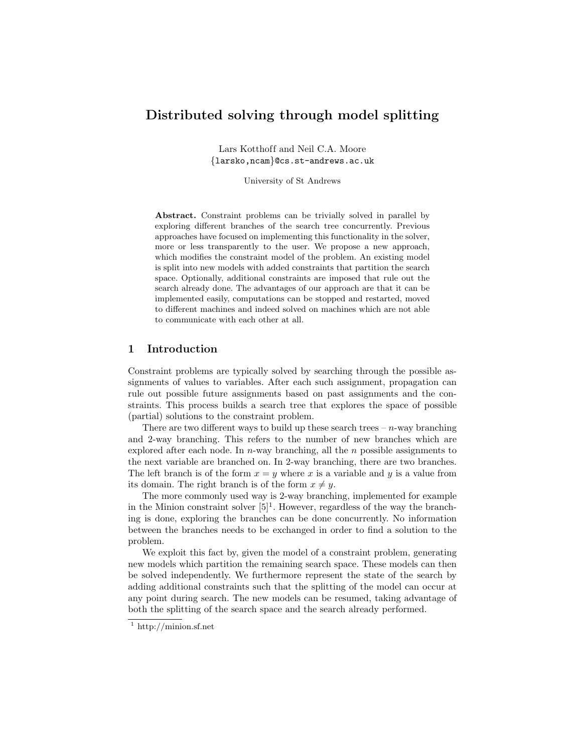# Distributed solving through model splitting

Lars Kotthoff and Neil C.A. Moore {larsko,ncam}@cs.st-andrews.ac.uk

University of St Andrews

Abstract. Constraint problems can be trivially solved in parallel by exploring different branches of the search tree concurrently. Previous approaches have focused on implementing this functionality in the solver, more or less transparently to the user. We propose a new approach, which modifies the constraint model of the problem. An existing model is split into new models with added constraints that partition the search space. Optionally, additional constraints are imposed that rule out the search already done. The advantages of our approach are that it can be implemented easily, computations can be stopped and restarted, moved to different machines and indeed solved on machines which are not able to communicate with each other at all.

#### 1 Introduction

Constraint problems are typically solved by searching through the possible assignments of values to variables. After each such assignment, propagation can rule out possible future assignments based on past assignments and the constraints. This process builds a search tree that explores the space of possible (partial) solutions to the constraint problem.

There are two different ways to build up these search trees  $- n$ -way branching and 2-way branching. This refers to the number of new branches which are explored after each node. In n-way branching, all the n possible assignments to the next variable are branched on. In 2-way branching, there are two branches. The left branch is of the form  $x = y$  where x is a variable and y is a value from its domain. The right branch is of the form  $x \neq y$ .

The more commonly used way is 2-way branching, implemented for example in the Minion constraint solver  $[5]^1$ . However, regardless of the way the branching is done, exploring the branches can be done concurrently. No information between the branches needs to be exchanged in order to find a solution to the problem.

We exploit this fact by, given the model of a constraint problem, generating new models which partition the remaining search space. These models can then be solved independently. We furthermore represent the state of the search by adding additional constraints such that the splitting of the model can occur at any point during search. The new models can be resumed, taking advantage of both the splitting of the search space and the search already performed.

 $1 \text{ http://minion.sf.net}$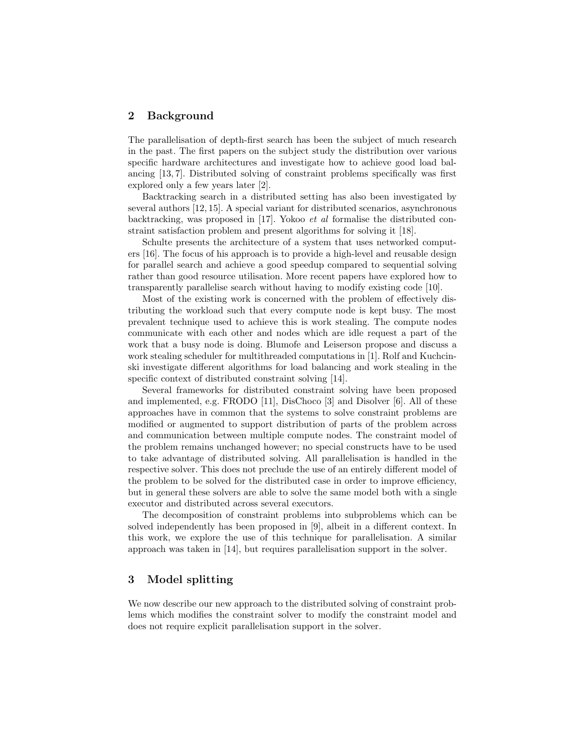#### 2 Background

The parallelisation of depth-first search has been the subject of much research in the past. The first papers on the subject study the distribution over various specific hardware architectures and investigate how to achieve good load balancing [13, 7]. Distributed solving of constraint problems specifically was first explored only a few years later [2].

Backtracking search in a distributed setting has also been investigated by several authors [12, 15]. A special variant for distributed scenarios, asynchronous backtracking, was proposed in [17]. Yokoo et al formalise the distributed constraint satisfaction problem and present algorithms for solving it [18].

Schulte presents the architecture of a system that uses networked computers [16]. The focus of his approach is to provide a high-level and reusable design for parallel search and achieve a good speedup compared to sequential solving rather than good resource utilisation. More recent papers have explored how to transparently parallelise search without having to modify existing code [10].

Most of the existing work is concerned with the problem of effectively distributing the workload such that every compute node is kept busy. The most prevalent technique used to achieve this is work stealing. The compute nodes communicate with each other and nodes which are idle request a part of the work that a busy node is doing. Blumofe and Leiserson propose and discuss a work stealing scheduler for multithreaded computations in [1]. Rolf and Kuchcinski investigate different algorithms for load balancing and work stealing in the specific context of distributed constraint solving [14].

Several frameworks for distributed constraint solving have been proposed and implemented, e.g. FRODO [11], DisChoco [3] and Disolver [6]. All of these approaches have in common that the systems to solve constraint problems are modified or augmented to support distribution of parts of the problem across and communication between multiple compute nodes. The constraint model of the problem remains unchanged however; no special constructs have to be used to take advantage of distributed solving. All parallelisation is handled in the respective solver. This does not preclude the use of an entirely different model of the problem to be solved for the distributed case in order to improve efficiency, but in general these solvers are able to solve the same model both with a single executor and distributed across several executors.

The decomposition of constraint problems into subproblems which can be solved independently has been proposed in [9], albeit in a different context. In this work, we explore the use of this technique for parallelisation. A similar approach was taken in [14], but requires parallelisation support in the solver.

# 3 Model splitting

We now describe our new approach to the distributed solving of constraint problems which modifies the constraint solver to modify the constraint model and does not require explicit parallelisation support in the solver.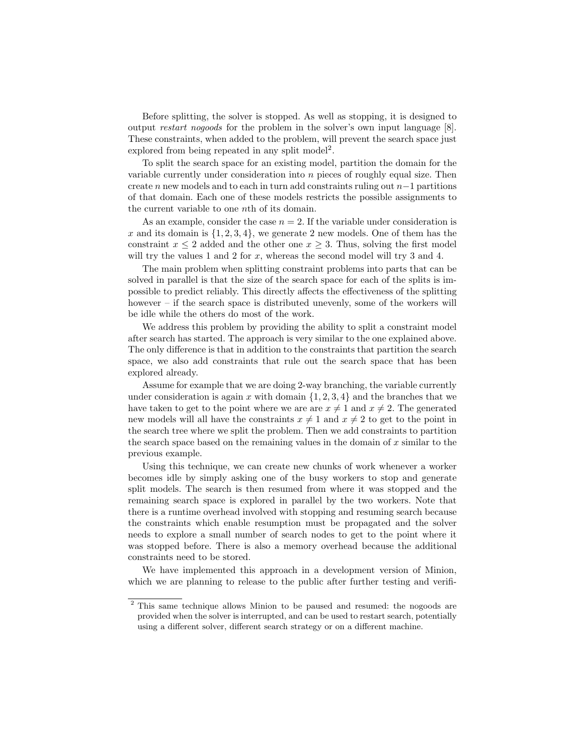Before splitting, the solver is stopped. As well as stopping, it is designed to output restart nogoods for the problem in the solver's own input language [8]. These constraints, when added to the problem, will prevent the search space just explored from being repeated in any split model<sup>2</sup>.

To split the search space for an existing model, partition the domain for the variable currently under consideration into n pieces of roughly equal size. Then create n new models and to each in turn add constraints ruling out  $n-1$  partitions of that domain. Each one of these models restricts the possible assignments to the current variable to one nth of its domain.

As an example, consider the case  $n = 2$ . If the variable under consideration is  $x$  and its domain is  $\{1, 2, 3, 4\}$ , we generate 2 new models. One of them has the constraint  $x \leq 2$  added and the other one  $x \geq 3$ . Thus, solving the first model will try the values 1 and 2 for  $x$ , whereas the second model will try 3 and 4.

The main problem when splitting constraint problems into parts that can be solved in parallel is that the size of the search space for each of the splits is impossible to predict reliably. This directly affects the effectiveness of the splitting however – if the search space is distributed unevenly, some of the workers will be idle while the others do most of the work.

We address this problem by providing the ability to split a constraint model after search has started. The approach is very similar to the one explained above. The only difference is that in addition to the constraints that partition the search space, we also add constraints that rule out the search space that has been explored already.

Assume for example that we are doing 2-way branching, the variable currently under consideration is again x with domain  $\{1, 2, 3, 4\}$  and the branches that we have taken to get to the point where we are are  $x \neq 1$  and  $x \neq 2$ . The generated new models will all have the constraints  $x \neq 1$  and  $x \neq 2$  to get to the point in the search tree where we split the problem. Then we add constraints to partition the search space based on the remaining values in the domain of  $x$  similar to the previous example.

Using this technique, we can create new chunks of work whenever a worker becomes idle by simply asking one of the busy workers to stop and generate split models. The search is then resumed from where it was stopped and the remaining search space is explored in parallel by the two workers. Note that there is a runtime overhead involved with stopping and resuming search because the constraints which enable resumption must be propagated and the solver needs to explore a small number of search nodes to get to the point where it was stopped before. There is also a memory overhead because the additional constraints need to be stored.

We have implemented this approach in a development version of Minion, which we are planning to release to the public after further testing and verifi-

<sup>2</sup> This same technique allows Minion to be paused and resumed: the nogoods are provided when the solver is interrupted, and can be used to restart search, potentially using a different solver, different search strategy or on a different machine.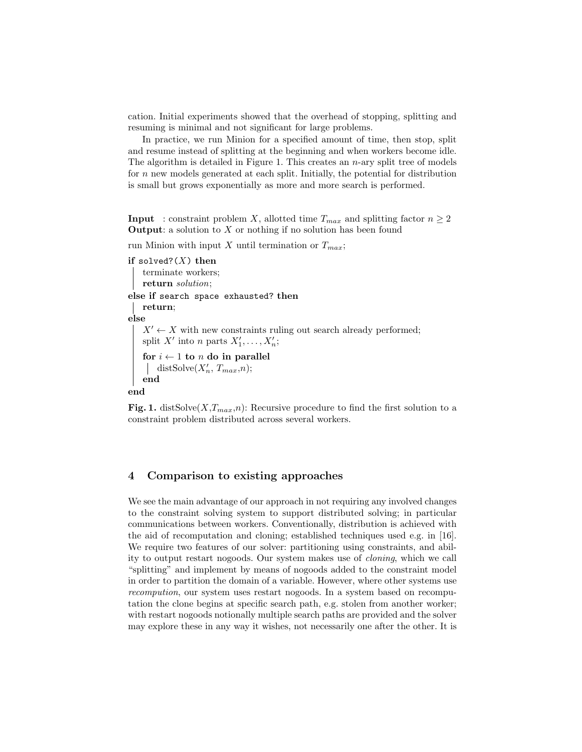cation. Initial experiments showed that the overhead of stopping, splitting and resuming is minimal and not significant for large problems.

In practice, we run Minion for a specified amount of time, then stop, split and resume instead of splitting at the beginning and when workers become idle. The algorithm is detailed in Figure 1. This creates an  $n$ -ary split tree of models for  $n$  new models generated at each split. Initially, the potential for distribution is small but grows exponentially as more and more search is performed.

**Input** : constraint problem X, allotted time  $T_{max}$  and splitting factor  $n \geq 2$ **Output:** a solution to  $X$  or nothing if no solution has been found

run Minion with input X until termination or  $T_{max}$ ;

```
if solved?(X) then
   terminate workers;
   return solution;
else if search space exhausted? then
   return;
else
   X' \leftarrow X with new constraints ruling out search already performed;
    split X' into n parts X'_1, \ldots, X'_n;
   for i \leftarrow 1 to n do in parallel
       distSolve(X'_n, T_{max}, n);end
end
```
Fig. 1. distSolve(X, $T_{max}$ ,n): Recursive procedure to find the first solution to a constraint problem distributed across several workers.

## 4 Comparison to existing approaches

We see the main advantage of our approach in not requiring any involved changes to the constraint solving system to support distributed solving; in particular communications between workers. Conventionally, distribution is achieved with the aid of recomputation and cloning; established techniques used e.g. in [16]. We require two features of our solver: partitioning using constraints, and ability to output restart nogoods. Our system makes use of cloning, which we call "splitting" and implement by means of nogoods added to the constraint model in order to partition the domain of a variable. However, where other systems use recompution, our system uses restart nogoods. In a system based on recomputation the clone begins at specific search path, e.g. stolen from another worker; with restart nogoods notionally multiple search paths are provided and the solver may explore these in any way it wishes, not necessarily one after the other. It is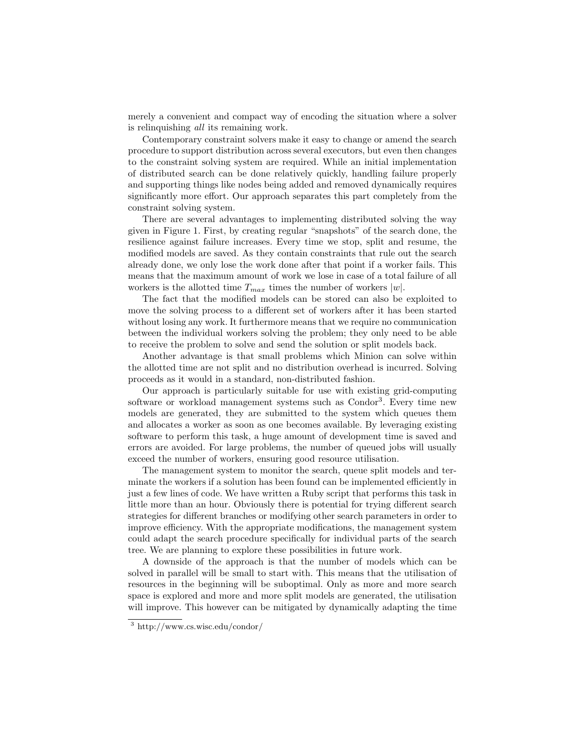merely a convenient and compact way of encoding the situation where a solver is relinquishing all its remaining work.

Contemporary constraint solvers make it easy to change or amend the search procedure to support distribution across several executors, but even then changes to the constraint solving system are required. While an initial implementation of distributed search can be done relatively quickly, handling failure properly and supporting things like nodes being added and removed dynamically requires significantly more effort. Our approach separates this part completely from the constraint solving system.

There are several advantages to implementing distributed solving the way given in Figure 1. First, by creating regular "snapshots" of the search done, the resilience against failure increases. Every time we stop, split and resume, the modified models are saved. As they contain constraints that rule out the search already done, we only lose the work done after that point if a worker fails. This means that the maximum amount of work we lose in case of a total failure of all workers is the allotted time  $T_{max}$  times the number of workers  $|w|$ .

The fact that the modified models can be stored can also be exploited to move the solving process to a different set of workers after it has been started without losing any work. It furthermore means that we require no communication between the individual workers solving the problem; they only need to be able to receive the problem to solve and send the solution or split models back.

Another advantage is that small problems which Minion can solve within the allotted time are not split and no distribution overhead is incurred. Solving proceeds as it would in a standard, non-distributed fashion.

Our approach is particularly suitable for use with existing grid-computing software or workload management systems such as Condor<sup>3</sup>. Every time new models are generated, they are submitted to the system which queues them and allocates a worker as soon as one becomes available. By leveraging existing software to perform this task, a huge amount of development time is saved and errors are avoided. For large problems, the number of queued jobs will usually exceed the number of workers, ensuring good resource utilisation.

The management system to monitor the search, queue split models and terminate the workers if a solution has been found can be implemented efficiently in just a few lines of code. We have written a Ruby script that performs this task in little more than an hour. Obviously there is potential for trying different search strategies for different branches or modifying other search parameters in order to improve efficiency. With the appropriate modifications, the management system could adapt the search procedure specifically for individual parts of the search tree. We are planning to explore these possibilities in future work.

A downside of the approach is that the number of models which can be solved in parallel will be small to start with. This means that the utilisation of resources in the beginning will be suboptimal. Only as more and more search space is explored and more and more split models are generated, the utilisation will improve. This however can be mitigated by dynamically adapting the time

<sup>3</sup> http://www.cs.wisc.edu/condor/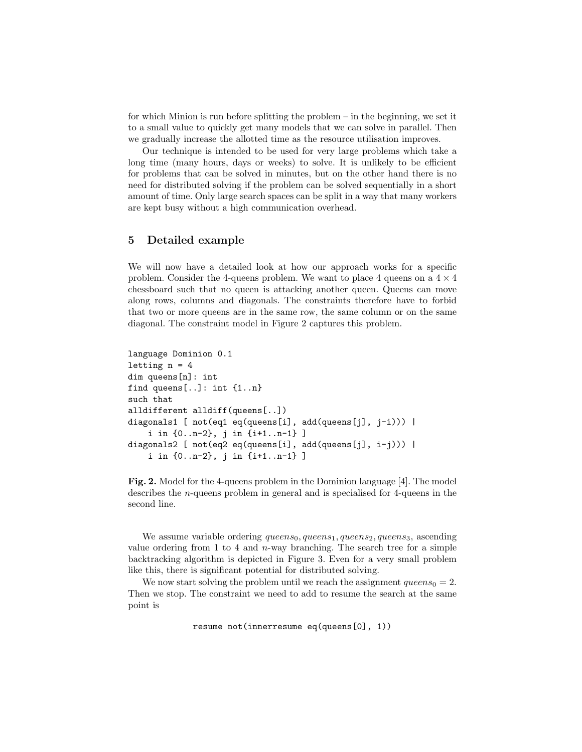for which Minion is run before splitting the problem – in the beginning, we set it to a small value to quickly get many models that we can solve in parallel. Then we gradually increase the allotted time as the resource utilisation improves.

Our technique is intended to be used for very large problems which take a long time (many hours, days or weeks) to solve. It is unlikely to be efficient for problems that can be solved in minutes, but on the other hand there is no need for distributed solving if the problem can be solved sequentially in a short amount of time. Only large search spaces can be split in a way that many workers are kept busy without a high communication overhead.

### 5 Detailed example

We will now have a detailed look at how our approach works for a specific problem. Consider the 4-queens problem. We want to place 4 queens on a  $4 \times 4$ chessboard such that no queen is attacking another queen. Queens can move along rows, columns and diagonals. The constraints therefore have to forbid that two or more queens are in the same row, the same column or on the same diagonal. The constraint model in Figure 2 captures this problem.

```
language Dominion 0.1
letting n = 4dim queens[n]: int
find queens[...]: int \{1..n\}such that
alldifferent alldiff(queens[..])
diagonals1 [ not(eq1 eq(queens[i], add(queens[j], j-i))) |
    i in {0..n-2}, j in {i+1..n-1} ]
diagonals2 [ not(eq2 eq(queens[i], add(queens[j], i-j))) |
    i in {0..n-2}, j in {i+1..n-1} ]
```
Fig. 2. Model for the 4-queens problem in the Dominion language [4]. The model describes the n-queens problem in general and is specialised for 4-queens in the second line.

We assume variable ordering  $queens_0, queens_1, queens_2, queens_3, ascending$ value ordering from 1 to 4 and  $n$ -way branching. The search tree for a simple backtracking algorithm is depicted in Figure 3. Even for a very small problem like this, there is significant potential for distributed solving.

We now start solving the problem until we reach the assignment  $queens<sub>0</sub> = 2$ . Then we stop. The constraint we need to add to resume the search at the same point is

resume not(innerresume eq(queens[0], 1))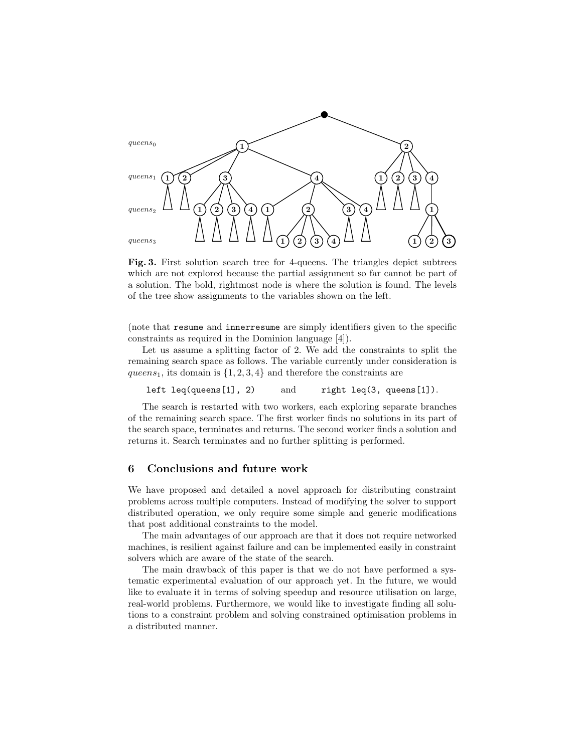

Fig. 3. First solution search tree for 4-queens. The triangles depict subtrees which are not explored because the partial assignment so far cannot be part of a solution. The bold, rightmost node is where the solution is found. The levels of the tree show assignments to the variables shown on the left.

(note that resume and innerresume are simply identifiers given to the specific constraints as required in the Dominion language [4]).

Let us assume a splitting factor of 2. We add the constraints to split the remaining search space as follows. The variable currently under consideration is queens<sub>1</sub>, its domain is  $\{1, 2, 3, 4\}$  and therefore the constraints are

left leq(queens[1], 2) and right leq(3, queens[1]).

The search is restarted with two workers, each exploring separate branches of the remaining search space. The first worker finds no solutions in its part of the search space, terminates and returns. The second worker finds a solution and returns it. Search terminates and no further splitting is performed.

#### 6 Conclusions and future work

We have proposed and detailed a novel approach for distributing constraint problems across multiple computers. Instead of modifying the solver to support distributed operation, we only require some simple and generic modifications that post additional constraints to the model.

The main advantages of our approach are that it does not require networked machines, is resilient against failure and can be implemented easily in constraint solvers which are aware of the state of the search.

The main drawback of this paper is that we do not have performed a systematic experimental evaluation of our approach yet. In the future, we would like to evaluate it in terms of solving speedup and resource utilisation on large, real-world problems. Furthermore, we would like to investigate finding all solutions to a constraint problem and solving constrained optimisation problems in a distributed manner.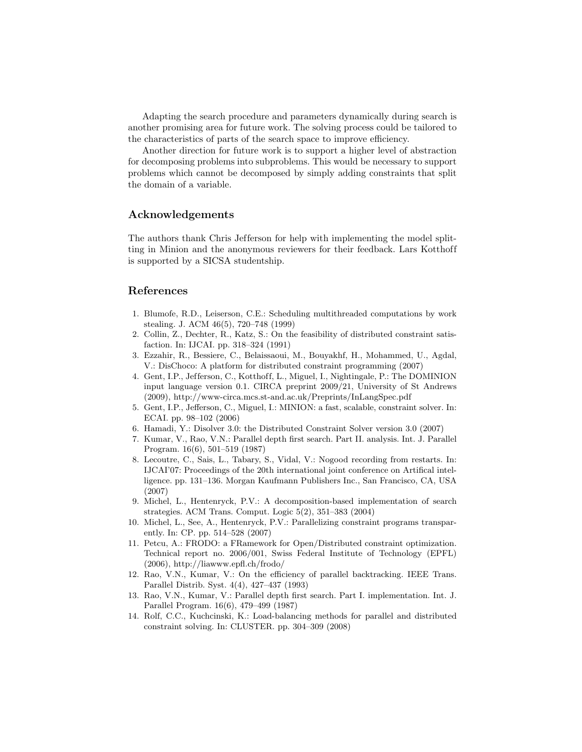Adapting the search procedure and parameters dynamically during search is another promising area for future work. The solving process could be tailored to the characteristics of parts of the search space to improve efficiency.

Another direction for future work is to support a higher level of abstraction for decomposing problems into subproblems. This would be necessary to support problems which cannot be decomposed by simply adding constraints that split the domain of a variable.

# Acknowledgements

The authors thank Chris Jefferson for help with implementing the model splitting in Minion and the anonymous reviewers for their feedback. Lars Kotthoff is supported by a SICSA studentship.

## References

- 1. Blumofe, R.D., Leiserson, C.E.: Scheduling multithreaded computations by work stealing. J. ACM 46(5), 720–748 (1999)
- 2. Collin, Z., Dechter, R., Katz, S.: On the feasibility of distributed constraint satisfaction. In: IJCAI. pp. 318–324 (1991)
- 3. Ezzahir, R., Bessiere, C., Belaissaoui, M., Bouyakhf, H., Mohammed, U., Agdal, V.: DisChoco: A platform for distributed constraint programming (2007)
- 4. Gent, I.P., Jefferson, C., Kotthoff, L., Miguel, I., Nightingale, P.: The DOMINION input language version 0.1. CIRCA preprint 2009/21, University of St Andrews (2009), http://www-circa.mcs.st-and.ac.uk/Preprints/InLangSpec.pdf
- 5. Gent, I.P., Jefferson, C., Miguel, I.: MINION: a fast, scalable, constraint solver. In: ECAI. pp. 98–102 (2006)
- 6. Hamadi, Y.: Disolver 3.0: the Distributed Constraint Solver version 3.0 (2007)
- 7. Kumar, V., Rao, V.N.: Parallel depth first search. Part II. analysis. Int. J. Parallel Program. 16(6), 501–519 (1987)
- 8. Lecoutre, C., Sais, L., Tabary, S., Vidal, V.: Nogood recording from restarts. In: IJCAI'07: Proceedings of the 20th international joint conference on Artifical intelligence. pp. 131–136. Morgan Kaufmann Publishers Inc., San Francisco, CA, USA (2007)
- 9. Michel, L., Hentenryck, P.V.: A decomposition-based implementation of search strategies. ACM Trans. Comput. Logic 5(2), 351–383 (2004)
- 10. Michel, L., See, A., Hentenryck, P.V.: Parallelizing constraint programs transparently. In: CP. pp. 514–528 (2007)
- 11. Petcu, A.: FRODO: a FRamework for Open/Distributed constraint optimization. Technical report no. 2006/001, Swiss Federal Institute of Technology (EPFL) (2006), http://liawww.epfl.ch/frodo/
- 12. Rao, V.N., Kumar, V.: On the efficiency of parallel backtracking. IEEE Trans. Parallel Distrib. Syst. 4(4), 427–437 (1993)
- 13. Rao, V.N., Kumar, V.: Parallel depth first search. Part I. implementation. Int. J. Parallel Program. 16(6), 479–499 (1987)
- 14. Rolf, C.C., Kuchcinski, K.: Load-balancing methods for parallel and distributed constraint solving. In: CLUSTER. pp. 304–309 (2008)